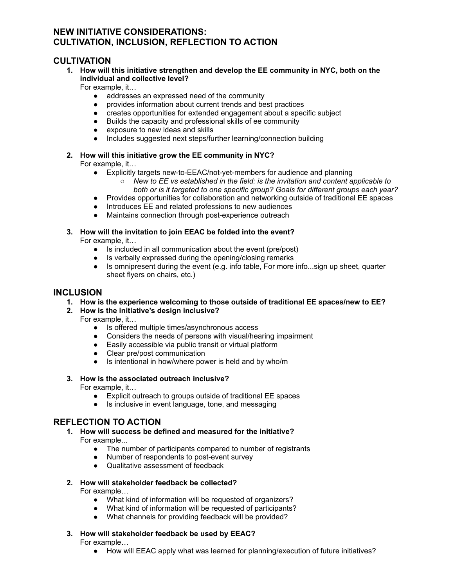# **NEW INITIATIVE CONSIDERATIONS: CULTIVATION, INCLUSION, REFLECTION TO ACTION**

## **CULTIVATION**

**1. How will this initiative strengthen and develop the EE community in NYC, both on the individual and collective level?**

For example, it…

- addresses an expressed need of the community
- provides information about current trends and best practices
- creates opportunities for extended engagement about a specific subject
- Builds the capacity and professional skills of ee community
- exposure to new ideas and skills
- Includes suggested next steps/further learning/connection building

### **2. How will this initiative grow the EE community in NYC?**

For example, it…

- Explicitly targets new-to-EEAC/not-yet-members for audience and planning
	- *New to EE vs established in the field: is the invitation and content applicable to both or is it targeted to one specific group? Goals for different groups each year?*
- Provides opportunities for collaboration and networking outside of traditional EE spaces
- Introduces EE and related professions to new audiences
- Maintains connection through post-experience outreach

#### **3. How will the invitation to join EEAC be folded into the event?**

For example, it…

- Is included in all communication about the event (pre/post)
- Is verbally expressed during the opening/closing remarks
- Is omnipresent during the event (e.g. info table, For more info...sign up sheet, quarter sheet flyers on chairs, etc.)

### **INCLUSION**

**1. How is the experience welcoming to those outside of traditional EE spaces/new to EE?**

#### **2. How is the initiative's design inclusive?**

For example, it…

- Is offered multiple times/asynchronous access
- Considers the needs of persons with visual/hearing impairment
- Easily accessible via public transit or virtual platform
- Clear pre/post communication
- Is intentional in how/where power is held and by who/m
- **3. How is the associated outreach inclusive?**

For example, it…

- Explicit outreach to groups outside of traditional EE spaces
- Is inclusive in event language, tone, and messaging

## **REFLECTION TO ACTION**

- **1. How will success be defined and measured for the initiative?** For example...
	- The number of participants compared to number of registrants<br>• Number of respondents to post-event survey
	- Number of respondents to post-event survey
	- Qualitative assessment of feedback
- **2. How will stakeholder feedback be collected?**

For example…

- 
- What kind of information will be requested of organizers?<br>● What kind of information will be requested of participants? What kind of information will be requested of participants?
- What channels for providing feedback will be provided?
- **3. How will stakeholder feedback be used by EEAC?** For example…
	- How will EEAC apply what was learned for planning/execution of future initiatives?